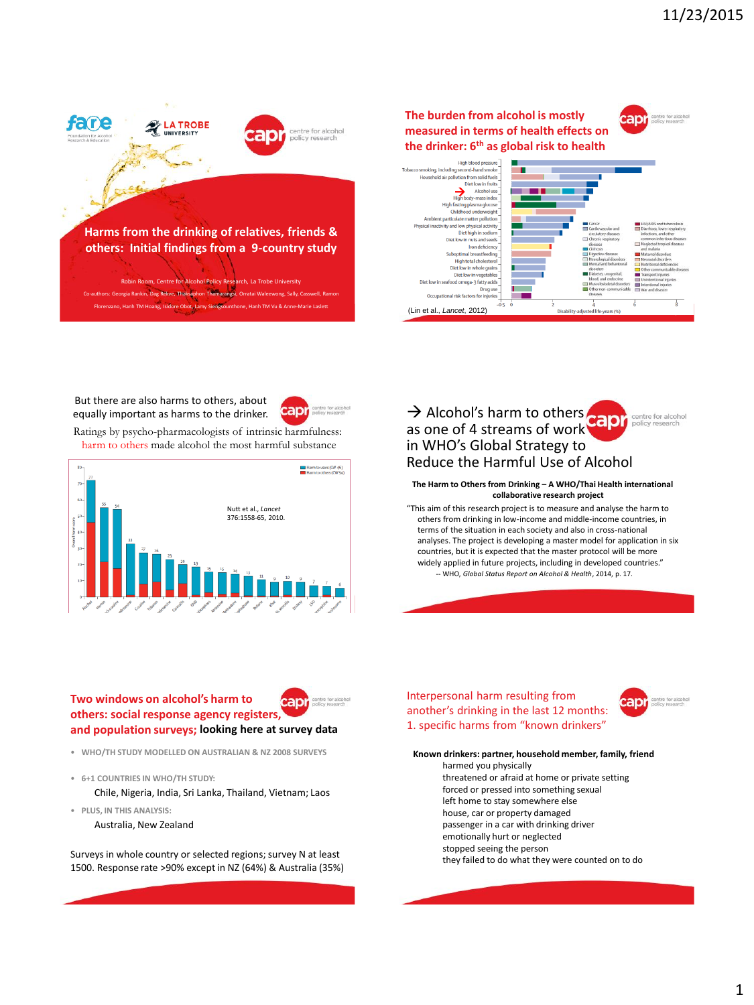

But there are also harms to others, about equally important as harms to the drinker.



Ratings by psycho-pharmacologists of intrinsic harmfulness: harm to others made alcohol the most harmful substance



> Alcohol's harm to others capr centre for alcohol<br>policy research as one of 4 streams of work in WHO's Global Strategy to Reduce the Harmful Use of Alcohol

#### **The Harm to Others from Drinking – A WHO/Thai Health international collaborative research project**

"This aim of this research project is to measure and analyse the harm to others from drinking in low-income and middle-income countries, in terms of the situation in each society and also in cross-national analyses. The project is developing a master model for application in six countries, but it is expected that the master protocol will be more widely applied in future projects, including in developed countries." -- WHO, *Global Status Report on Alcohol & Health*, 2014, p. 17.

**Two windows on alcohol's harm to**  anı **others: social response agency registers, and population surveys; looking here at survey data**



- **6+1 COUNTRIES IN WHO/TH STUDY:**
	- Chile, Nigeria, India, Sri Lanka, Thailand, Vietnam; Laos
- **PLUS, IN THIS ANALYSIS:**

# Australia, New Zealand

Surveys in whole country or selected regions; survey N at least 1500. Response rate >90% except in NZ (64%) & Australia (35%) Interpersonal harm resulting from another's drinking in the last 12 months: 1. specific harms from "known drinkers"



**Known drinkers: partner, household member, family, friend** harmed you physically threatened or afraid at home or private setting forced or pressed into something sexual left home to stay somewhere else house, car or property damaged passenger in a car with drinking driver emotionally hurt or neglected stopped seeing the person they failed to do what they were counted on to do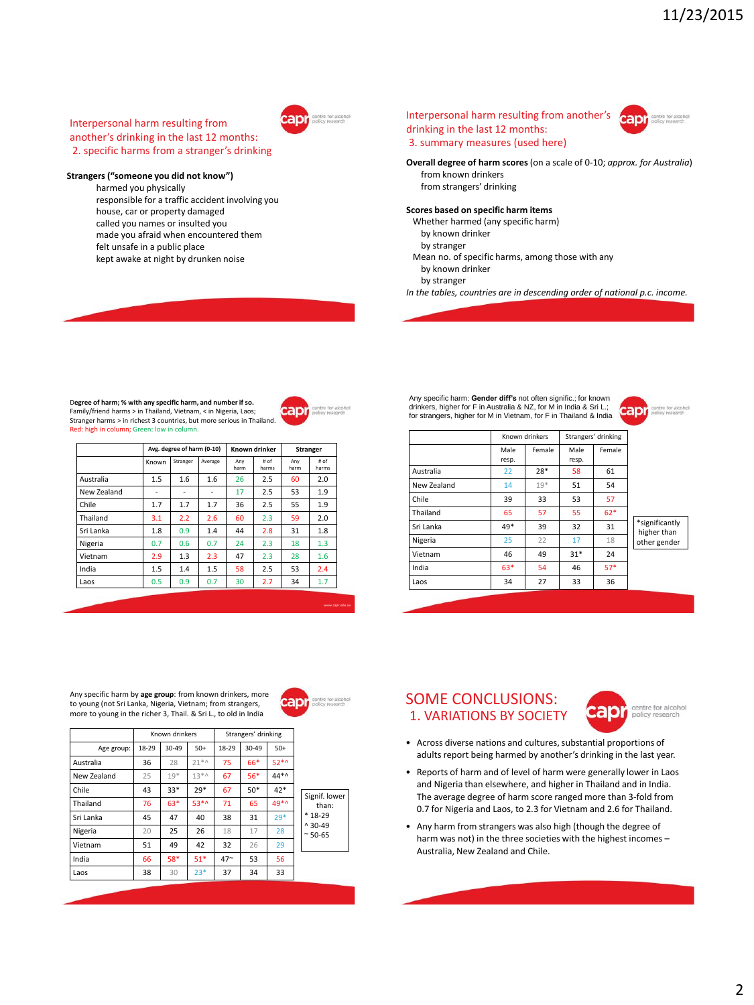## Interpersonal harm resulting from another's drinking in the last 12 months: 2. specific harms from a stranger's drinking

## **Strangers ("someone you did not know")**

harmed you physically responsible for a traffic accident involving you house, car or property damaged called you names or insulted you made you afraid when encountered them felt unsafe in a public place kept awake at night by drunken noise





**Overall degree of harm scores**(on a scale of 0-10; *approx. for Australia*) from known drinkers from strangers' drinking

### **Scores based on specific harm items**

- Whether harmed (any specific harm)
- by known drinker
- by stranger
- Mean no. of specific harms, among those with any by known drinker
- by stranger
- *In the tables, countries are in descending order of national p.c. income.*

#### D**egree of harm; % with any specific harm, and number if so.**

Family/friend harms > in Thailand, Vietnam, < in Nigeria, Laos; Stranger harms > in richest 3 countries, but more serious in Thailand. Red: high in column; Green: low in column



|             | Avg. degree of harm (0-10) |          |         | Known drinker |               | <b>Stranger</b> |               |
|-------------|----------------------------|----------|---------|---------------|---------------|-----------------|---------------|
|             | Known                      | Stranger | Average | Anv<br>harm   | # of<br>harms | Anv<br>harm     | # of<br>harms |
| Australia   | 1.5                        | 1.6      | 1.6     | 26            | 2.5           | 60              | 2.0           |
| New Zealand | ٠                          | ٠        | ٠       | 17            | 2.5           | 53              | 1.9           |
| Chile       | 1.7                        | 1.7      | 1.7     | 36            | 2.5           | 55              | 1.9           |
| Thailand    | 3.1                        | 2.2      | 2.6     | 60            | 2.3           | 59              | 2.0           |
| Sri Lanka   | 1.8                        | 0.9      | 1.4     | 44            | 2.8           | 31              | 1.8           |
| Nigeria     | 0.7                        | 0.6      | 0.7     | 24            | 2.3           | 18              | 1.3           |
| Vietnam     | 2.9                        | 1.3      | 2.3     | 47            | 2.3           | 28              | 1.6           |
| India       | 1.5                        | 1.4      | 1.5     | 58            | 2.5           | 53              | 2.4           |
| Laos        | 0.5                        | 0.9      | 0.7     | 30            | 2.7           | 34              | 1.7           |
|             |                            |          |         |               |               |                 |               |

Known drinkers Strangers' drinking

Age group: 18-29 30-49 50+ 18-29 30-49 50+ Australia | 36 | 28 | 21\*^ | 75 | 66\* | 52\*^ New Zealand 25 19\* 13\*^ 67 56\* 44\*^ Chile 43 33\* 29\* 67 50\* 42\* Thailand 76 63\* 53\*^ 71 65 49\*^ Sri Lanka  $\begin{array}{|c|c|c|c|c|c|}\n\hline\n8x & 45 & 47 & 40 & 38 & 31 & 29^* \\
\hline\n\end{array}$ **Nigeria 120 25 26 18 17 28** Vietnam  $\begin{array}{|c|c|c|c|c|c|c|c|} \hline \end{array}$  51 | 49 | 42 | 32 | 26 | 29 India 66 58\* 51\* 47~ 53 56 Laos | 38 | 30 | 23\* | 37 | 34 | 33

Any specific harm: **Gender diff's** not often signific.; for known drinkers, higher for F in Australia & NZ, for M in India & Sri L.; for strangers, higher for M in Vietnam, for F in Thailand & India



|             |               | Known drinkers |               | Strangers' drinking |                                               |
|-------------|---------------|----------------|---------------|---------------------|-----------------------------------------------|
|             | Male<br>resp. | Female         | Male<br>resp. | Female              |                                               |
| Australia   | 22            | 28*            | 58            | 61                  |                                               |
| New Zealand | 14            | $19*$          | 51            | 54                  |                                               |
| Chile       | 39            | 33             | 53            | 57                  |                                               |
| Thailand    | 65            | 57             | 55            | $62*$               | *significantly<br>higher than<br>other gender |
| Sri Lanka   | $49*$         | 39             | 32            | 31                  |                                               |
| Nigeria     | 25            | 22             | 17            | 18                  |                                               |
| Vietnam     | 46            | 49             | $31*$         | 24                  |                                               |
| India       | 63*           | 54             | 46            | $57*$               |                                               |
| Laos        | 34            | 27             | 33            | 36                  |                                               |

#### Any specific harm by **age group**: from known drinkers, more to young (not Sri Lanka, Nigeria, Vietnam; from strangers, more to young in the richer 3, Thail. & Sri L., to old in India



Signif. lower than: \* 18-29 ^ 30-49 ~ 50-65

www.capr.edu.au





- Across diverse nations and cultures, substantial proportions of adults report being harmed by another's drinking in the last year.
- Reports of harm and of level of harm were generally lower in Laos and Nigeria than elsewhere, and higher in Thailand and in India. The average degree of harm score ranged more than 3-fold from 0.7 for Nigeria and Laos, to 2.3 for Vietnam and 2.6 for Thailand.
- Any harm from strangers was also high (though the degree of harm was not) in the three societies with the highest incomes – Australia, New Zealand and Chile.

2